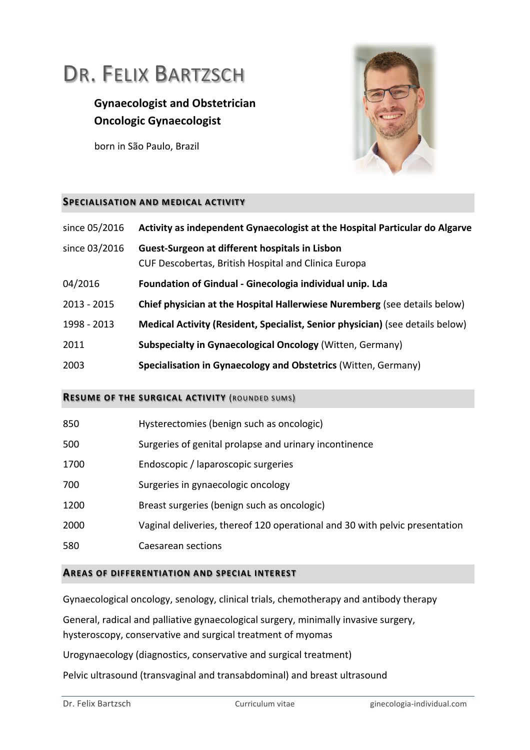# DR. FELIX BARTZSCH

# **Gynaecologist and Obstetrician Oncologic Gynaecologist**

born in São Paulo, Brazil



#### **SPECIALISATION AND MEDICAL ACTIVITY**

| since 05/2016 | Activity as independent Gynaecologist at the Hospital Particular do Algarve                            |
|---------------|--------------------------------------------------------------------------------------------------------|
| since 03/2016 | Guest-Surgeon at different hospitals in Lisbon<br>CUF Descobertas, British Hospital and Clinica Europa |
| 04/2016       | Foundation of Gindual - Ginecologia individual unip. Lda                                               |
| $2013 - 2015$ | Chief physician at the Hospital Hallerwiese Nuremberg (see details below)                              |
| 1998 - 2013   | Medical Activity (Resident, Specialist, Senior physician) (see details below)                          |
| 2011          | <b>Subspecialty in Gynaecological Oncology</b> (Witten, Germany)                                       |
| 2003          | Specialisation in Gynaecology and Obstetrics (Witten, Germany)                                         |

#### **RESUME OF THE SURGICAL ACTIVITY (ROUNDED SUMS)**

| 850  | Hysterectomies (benign such as oncologic)                                   |
|------|-----------------------------------------------------------------------------|
| 500  | Surgeries of genital prolapse and urinary incontinence                      |
| 1700 | Endoscopic / laparoscopic surgeries                                         |
| 700  | Surgeries in gynaecologic oncology                                          |
| 1200 | Breast surgeries (benign such as oncologic)                                 |
| 2000 | Vaginal deliveries, thereof 120 operational and 30 with pelvic presentation |
| 580  | Caesarean sections                                                          |

#### **AREAS OF DIFFERENTIATION AND SPECIAL INTEREST**

Gynaecological oncology, senology, clinical trials, chemotherapy and antibody therapy

General, radical and palliative gynaecological surgery, minimally invasive surgery, hysteroscopy, conservative and surgical treatment of myomas

Urogynaecology (diagnostics, conservative and surgical treatment)

Pelvic ultrasound (transvaginal and transabdominal) and breast ultrasound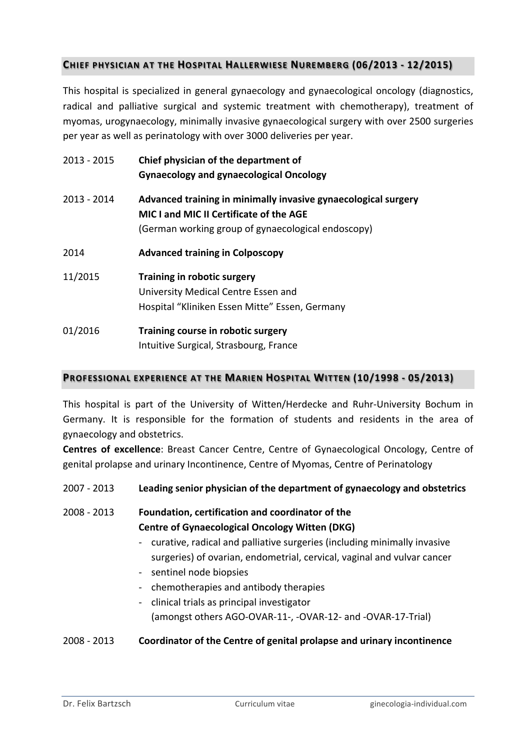# **CHIEF PHYSICIAN AT THE HOSPITAL HALLERWIESE NUREMBERG (06/2013 - 12/2015)**

This hospital is specialized in general gynaecology and gynaecological oncology (diagnostics, radical and palliative surgical and systemic treatment with chemotherapy), treatment of myomas, urogynaecology, minimally invasive gynaecological surgery with over 2500 surgeries per year as well as perinatology with over 3000 deliveries per year.

| 2013 - 2015 | Chief physician of the department of<br><b>Gynaecology and gynaecological Oncology</b>                                                                          |
|-------------|-----------------------------------------------------------------------------------------------------------------------------------------------------------------|
| 2013 - 2014 | Advanced training in minimally invasive gynaecological surgery<br>MIC I and MIC II Certificate of the AGE<br>(German working group of gynaecological endoscopy) |
| 2014        | <b>Advanced training in Colposcopy</b>                                                                                                                          |
| 11/2015     | Training in robotic surgery<br>University Medical Centre Essen and<br>Hospital "Kliniken Essen Mitte" Essen, Germany                                            |
| 01/2016     | Training course in robotic surgery<br>Intuitive Surgical, Strasbourg, France                                                                                    |

### **PROFESSIONAL EXPERIENCE AT THE MARIEN HOSPITAL WITTEN (10/1998 - 05/2013)**

This hospital is part of the University of Witten/Herdecke and Ruhr-University Bochum in Germany. It is responsible for the formation of students and residents in the area of gynaecology and obstetrics.

**Centres of excellence**: Breast Cancer Centre, Centre of Gynaecological Oncology, Centre of genital prolapse and urinary Incontinence, Centre of Myomas, Centre of Perinatology

### 2007 - 2013 Leading senior physician of the department of gynaecology and obstetrics

2008 - 2013 **Foundation, certification and coordinator of the Centre of Gynaecological Oncology Witten (DKG)** 

- curative, radical and palliative surgeries (including minimally invasive surgeries) of ovarian, endometrial, cervical, vaginal and vulvar cancer
- sentinel node biopsies
- chemotherapies and antibody therapies
- clinical trials as principal investigator (amongst others AGO-OVAR-11-, -OVAR-12- and -OVAR-17-Trial)

### 2008 - 2013 Coordinator of the Centre of genital prolapse and urinary incontinence